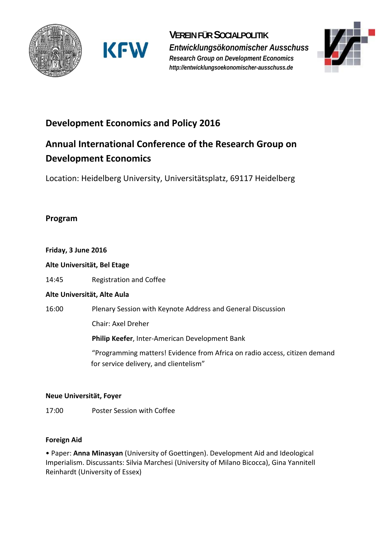





## **Development Economics and Policy 2016**

# **Annual International Conference of the Research Group on Development Economics**

Location: Heidelberg University, Universitätsplatz, 69117 Heidelberg

### **Program**

#### **Friday, 3 June 2016**

**Alte Universität, Bel Etage** 

14:45 Registration and Coffee

#### **Alte Universität, Alte Aula**

16:00 Plenary Session with Keynote Address and General Discussion

Chair: Axel Dreher

**Philip Keefer**, Inter‐American Development Bank

 "Programming matters! Evidence from Africa on radio access, citizen demand for service delivery, and clientelism"

#### **Neue Universität, Foyer**

17:00 Poster Session with Coffee

#### **Foreign Aid**

• Paper: **Anna Minasyan** (University of Goettingen). Development Aid and Ideological Imperialism. Discussants: Silvia Marchesi (University of Milano Bicocca), Gina Yannitell Reinhardt (University of Essex)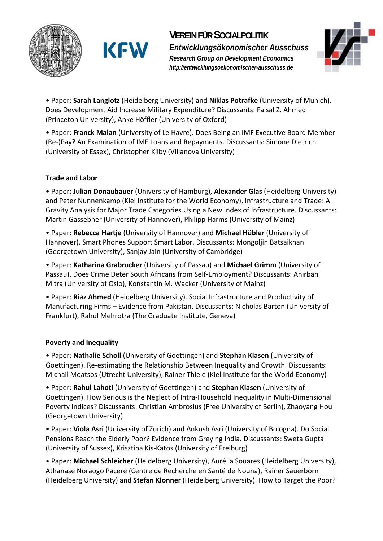

**VEREIN FÜR SOCIALPOLITIK** *Entwicklungsökonomischer Ausschuss Research Group on Development Economics http://entwicklungsoekonomischer-ausschuss.de* 



• Paper: **Sarah Langlotz** (Heidelberg University) and **Niklas Potrafke** (University of Munich). Does Development Aid Increase Military Expenditure? Discussants: Faisal Z. Ahmed (Princeton University), Anke Höffler (University of Oxford)

• Paper: **Franck Malan** (University of Le Havre). Does Being an IMF Executive Board Member (Re‐)Pay? An Examination of IMF Loans and Repayments. Discussants: Simone Dietrich (University of Essex), Christopher Kilby (Villanova University)

#### **Trade and Labor**

• Paper: **Julian Donaubauer** (University of Hamburg), **Alexander Glas** (Heidelberg University) and Peter Nunnenkamp (Kiel Institute for the World Economy). Infrastructure and Trade: A Gravity Analysis for Major Trade Categories Using a New Index of Infrastructure. Discussants: Martin Gassebner (University of Hannover), Philipp Harms (University of Mainz)

• Paper: **Rebecca Hartje** (University of Hannover) and **Michael Hübler** (University of Hannover). Smart Phones Support Smart Labor. Discussants: Mongoljin Batsaikhan (Georgetown University), Sanjay Jain (University of Cambridge)

• Paper: **Katharina Grabrucker** (University of Passau) and **Michael Grimm** (University of Passau). Does Crime Deter South Africans from Self‐Employment? Discussants: Anirban Mitra (University of Oslo), Konstantin M. Wacker (University of Mainz)

• Paper: **Riaz Ahmed** (Heidelberg University). Social Infrastructure and Productivity of Manufacturing Firms – Evidence from Pakistan. Discussants: Nicholas Barton (University of Frankfurt), Rahul Mehrotra (The Graduate Institute, Geneva)

#### **Poverty and Inequality**

• Paper: **Nathalie Scholl** (University of Goettingen) and **Stephan Klasen** (University of Goettingen). Re‐estimating the Relationship Between Inequality and Growth. Discussants: Michail Moatsos (Utrecht University), Rainer Thiele (Kiel Institute for the World Economy)

• Paper: **Rahul Lahoti** (University of Goettingen) and **Stephan Klasen** (University of Goettingen). How Serious is the Neglect of Intra‐Household Inequality in Multi‐Dimensional Poverty Indices? Discussants: Christian Ambrosius (Free University of Berlin), Zhaoyang Hou (Georgetown University)

• Paper: **Viola Asri** (University of Zurich) and Ankush Asri (University of Bologna). Do Social Pensions Reach the Elderly Poor? Evidence from Greying India. Discussants: Sweta Gupta (University of Sussex), Krisztina Kis‐Katos (University of Freiburg)

• Paper: **Michael Schleicher** (Heidelberg University), Aurélia Souares (Heidelberg University), Athanase Noraogo Pacere (Centre de Recherche en Santé de Nouna), Rainer Sauerborn (Heidelberg University) and **Stefan Klonner** (Heidelberg University). How to Target the Poor?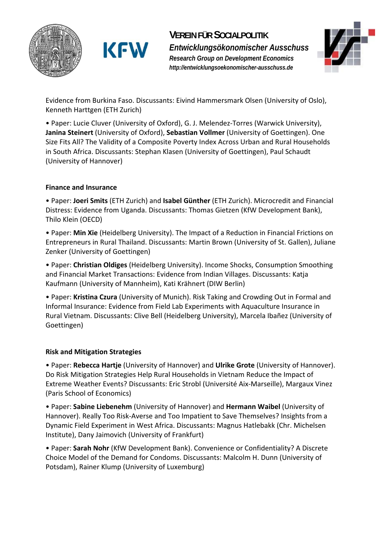

**VEREIN FÜR SOCIALPOLITIK** *Entwicklungsökonomischer Ausschuss Research Group on Development Economics http://entwicklungsoekonomischer-ausschuss.de* 



Evidence from Burkina Faso. Discussants: Eivind Hammersmark Olsen (University of Oslo), Kenneth Harttgen (ETH Zurich)

• Paper: Lucie Cluver (University of Oxford), G. J. Melendez‐Torres (Warwick University), **Janina Steinert** (University of Oxford), **Sebastian Vollmer** (University of Goettingen). One Size Fits All? The Validity of a Composite Poverty Index Across Urban and Rural Households in South Africa. Discussants: Stephan Klasen (University of Goettingen), Paul Schaudt (University of Hannover)

#### **Finance and Insurance**

• Paper: **Joeri Smits** (ETH Zurich) and **Isabel Günther** (ETH Zurich). Microcredit and Financial Distress: Evidence from Uganda. Discussants: Thomas Gietzen (KfW Development Bank), Thilo Klein (OECD)

• Paper: **Min Xie** (Heidelberg University). The Impact of a Reduction in Financial Frictions on Entrepreneurs in Rural Thailand. Discussants: Martin Brown (University of St. Gallen), Juliane Zenker (University of Goettingen)

• Paper: **Christian Oldiges** (Heidelberg University). Income Shocks, Consumption Smoothing and Financial Market Transactions: Evidence from Indian Villages. Discussants: Katja Kaufmann (University of Mannheim), Kati Krähnert (DIW Berlin)

• Paper: **Kristina Czura** (University of Munich). Risk Taking and Crowding Out in Formal and Informal Insurance: Evidence from Field Lab Experiments with Aquaculture Insurance in Rural Vietnam. Discussants: Clive Bell (Heidelberg University), Marcela Ibañez (University of Goettingen)

#### **Risk and Mitigation Strategies**

• Paper: **Rebecca Hartje** (University of Hannover) and **Ulrike Grote** (University of Hannover). Do Risk Mitigation Strategies Help Rural Households in Vietnam Reduce the Impact of Extreme Weather Events? Discussants: Eric Strobl (Université Aix‐Marseille), Margaux Vinez (Paris School of Economics)

• Paper: **Sabine Liebenehm** (University of Hannover) and **Hermann Waibel** (University of Hannover). Really Too Risk‐Averse and Too Impatient to Save Themselves? Insights from a Dynamic Field Experiment in West Africa. Discussants: Magnus Hatlebakk (Chr. Michelsen Institute), Dany Jaimovich (University of Frankfurt)

• Paper: **Sarah Nohr** (KfW Development Bank). Convenience or Confidentiality? A Discrete Choice Model of the Demand for Condoms. Discussants: Malcolm H. Dunn (University of Potsdam), Rainer Klump (University of Luxemburg)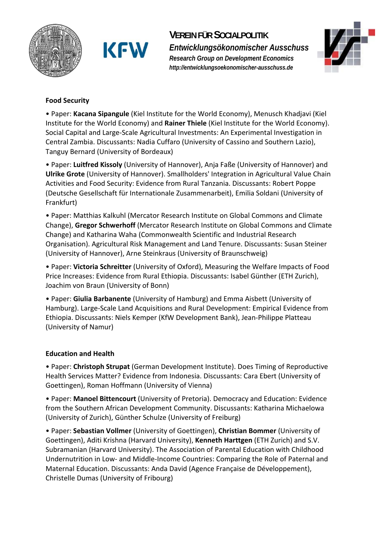



**VEREIN FÜR SOCIALPOLITIK**

*Entwicklungsökonomischer Ausschuss Research Group on Development Economics http://entwicklungsoekonomischer-ausschuss.de* 



#### **Food Security**

• Paper: **Kacana Sipangule** (Kiel Institute for the World Economy), Menusch Khadjavi (Kiel Institute for the World Economy) and **Rainer Thiele** (Kiel Institute for the World Economy). Social Capital and Large‐Scale Agricultural Investments: An Experimental Investigation in Central Zambia. Discussants: Nadia Cuffaro (University of Cassino and Southern Lazio), Tanguy Bernard (University of Bordeaux)

• Paper: **Luitfred Kissoly** (University of Hannover), Anja Faße (University of Hannover) and **Ulrike Grote** (University of Hannover). Smallholders' Integration in Agricultural Value Chain Activities and Food Security: Evidence from Rural Tanzania. Discussants: Robert Poppe (Deutsche Gesellschaft für Internationale Zusammenarbeit), Emilia Soldani (University of Frankfurt)

• Paper: Matthias Kalkuhl (Mercator Research Institute on Global Commons and Climate Change), **Gregor Schwerhoff** (Mercator Research Institute on Global Commons and Climate Change) and Katharina Waha (Commonwealth Scientific and Industrial Research Organisation). Agricultural Risk Management and Land Tenure. Discussants: Susan Steiner (University of Hannover), Arne Steinkraus (University of Braunschweig)

• Paper: **Victoria Schreitter** (University of Oxford), Measuring the Welfare Impacts of Food Price Increases: Evidence from Rural Ethiopia. Discussants: Isabel Günther (ETH Zurich), Joachim von Braun (University of Bonn)

• Paper: **Giulia Barbanente** (University of Hamburg) and Emma Aisbett (University of Hamburg). Large‐Scale Land Acquisitions and Rural Development: Empirical Evidence from Ethiopia. Discussants: Niels Kemper (KfW Development Bank), Jean‐Philippe Platteau (University of Namur)

#### **Education and Health**

• Paper: **Christoph Strupat** (German Development Institute). Does Timing of Reproductive Health Services Matter? Evidence from Indonesia. Discussants: Cara Ebert (University of Goettingen), Roman Hoffmann (University of Vienna)

• Paper: **Manoel Bittencourt** (University of Pretoria). Democracy and Education: Evidence from the Southern African Development Community. Discussants: Katharina Michaelowa (University of Zurich), Günther Schulze (University of Freiburg)

• Paper: **Sebastian Vollmer** (University of Goettingen), **Christian Bommer** (University of Goettingen), Aditi Krishna (Harvard University), **Kenneth Harttgen** (ETH Zurich) and S.V. Subramanian (Harvard University). The Association of Parental Education with Childhood Undernutrition in Low‐ and Middle‐Income Countries: Comparing the Role of Paternal and Maternal Education. Discussants: Anda David (Agence Française de Développement), Christelle Dumas (University of Fribourg)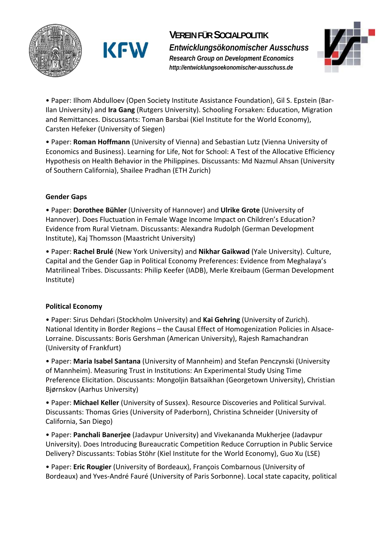

# **VEREIN FÜR SOCIALPOLITIK**

*Entwicklungsökonomischer Ausschuss Research Group on Development Economics http://entwicklungsoekonomischer-ausschuss.de* 



• Paper: Ilhom Abdulloev (Open Society Institute Assistance Foundation), Gil S. Epstein (Bar‐ Ilan University) and **Ira Gang** (Rutgers University). Schooling Forsaken: Education, Migration and Remittances. Discussants: Toman Barsbai (Kiel Institute for the World Economy), Carsten Hefeker (University of Siegen)

• Paper: **Roman Hoffmann** (University of Vienna) and Sebastian Lutz (Vienna University of Economics and Business). Learning for Life, Not for School: A Test of the Allocative Efficiency Hypothesis on Health Behavior in the Philippines. Discussants: Md Nazmul Ahsan (University of Southern California), Shailee Pradhan (ETH Zurich)

#### **Gender Gaps**

• Paper: **Dorothee Bühler** (University of Hannover) and **Ulrike Grote** (University of Hannover). Does Fluctuation in Female Wage Income Impact on Children's Education? Evidence from Rural Vietnam. Discussants: Alexandra Rudolph (German Development Institute), Kaj Thomsson (Maastricht University)

• Paper: **Rachel Brulé** (New York University) and **Nikhar Gaikwad** (Yale University). Culture, Capital and the Gender Gap in Political Economy Preferences: Evidence from Meghalaya's Matrilineal Tribes. Discussants: Philip Keefer (IADB), Merle Kreibaum (German Development Institute)

#### **Political Economy**

• Paper: Sirus Dehdari (Stockholm University) and **Kai Gehring** (University of Zurich). National Identity in Border Regions – the Causal Effect of Homogenization Policies in Alsace‐ Lorraine. Discussants: Boris Gershman (American University), Rajesh Ramachandran (University of Frankfurt)

• Paper: **Maria Isabel Santana** (University of Mannheim) and Stefan Penczynski (University of Mannheim). Measuring Trust in Institutions: An Experimental Study Using Time Preference Elicitation. Discussants: Mongoljin Batsaikhan (Georgetown University), Christian Bjørnskov (Aarhus University)

• Paper: **Michael Keller** (University of Sussex). Resource Discoveries and Political Survival. Discussants: Thomas Gries (University of Paderborn), Christina Schneider (University of California, San Diego)

• Paper: **Panchali Banerjee** (Jadavpur University) and Vivekananda Mukherjee (Jadavpur University). Does Introducing Bureaucratic Competition Reduce Corruption in Public Service Delivery? Discussants: Tobias Stöhr (Kiel Institute for the World Economy), Guo Xu (LSE)

• Paper: **Eric Rougier** (University of Bordeaux), François Combarnous (University of Bordeaux) and Yves‐André Fauré (University of Paris Sorbonne). Local state capacity, political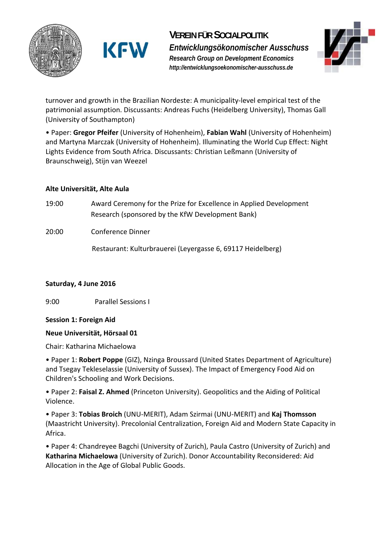

**VEREIN FÜR SOCIALPOLITIK** *Entwicklungsökonomischer Ausschuss Research Group on Development Economics http://entwicklungsoekonomischer-ausschuss.de* 



turnover and growth in the Brazilian Nordeste: A municipality‐level empirical test of the patrimonial assumption. Discussants: Andreas Fuchs (Heidelberg University), Thomas Gall (University of Southampton)

• Paper: **Gregor Pfeifer** (University of Hohenheim), **Fabian Wahl** (University of Hohenheim) and Martyna Marczak (University of Hohenheim). Illuminating the World Cup Effect: Night Lights Evidence from South Africa. Discussants: Christian Leßmann (University of Braunschweig), Stijn van Weezel

#### **Alte Universität, Alte Aula**

- 19:00 Award Ceremony for the Prize for Excellence in Applied Development Research (sponsored by the KfW Development Bank)
- 20:00 Conference Dinner

Restaurant: Kulturbrauerei (Leyergasse 6, 69117 Heidelberg)

#### **Saturday, 4 June 2016**

9:00 Parallel Sessions I

#### **Session 1: Foreign Aid**

#### **Neue Universität, Hörsaal 01**

Chair: Katharina Michaelowa

• Paper 1: **Robert Poppe** (GIZ), Nzinga Broussard (United States Department of Agriculture) and Tsegay Tekleselassie (University of Sussex). The Impact of Emergency Food Aid on Children's Schooling and Work Decisions.

• Paper 2: **Faisal Z. Ahmed** (Princeton University). Geopolitics and the Aiding of Political Violence.

• Paper 3: **Tobias Broich** (UNU‐MERIT), Adam Szirmai (UNU‐MERIT) and **Kaj Thomsson** (Maastricht University). Precolonial Centralization, Foreign Aid and Modern State Capacity in Africa.

• Paper 4: Chandreyee Bagchi (University of Zurich), Paula Castro (University of Zurich) and **Katharina Michaelowa** (University of Zurich). Donor Accountability Reconsidered: Aid Allocation in the Age of Global Public Goods.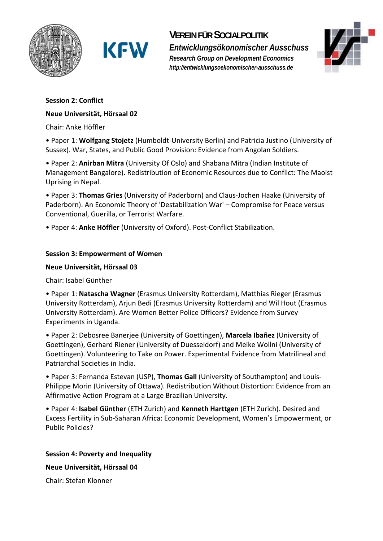

## **VEREIN FÜR SOCIALPOLITIK**

*Entwicklungsökonomischer Ausschuss Research Group on Development Economics http://entwicklungsoekonomischer-ausschuss.de* 



#### **Session 2: Conflict**

#### **Neue Universität, Hörsaal 02**

Chair: Anke Höffler

• Paper 1: **Wolfgang Stojetz** (Humboldt‐University Berlin) and Patricia Justino (University of Sussex). War, States, and Public Good Provision: Evidence from Angolan Soldiers.

• Paper 2: **Anirban Mitra** (University Of Oslo) and Shabana Mitra (Indian Institute of Management Bangalore). Redistribution of Economic Resources due to Conflict: The Maoist Uprising in Nepal.

• Paper 3: **Thomas Gries** (University of Paderborn) and Claus‐Jochen Haake (University of Paderborn). An Economic Theory of 'Destabilization War' – Compromise for Peace versus Conventional, Guerilla, or Terrorist Warfare.

• Paper 4: **Anke Höffler** (University of Oxford). Post‐Conflict Stabilization.

#### **Session 3: Empowerment of Women**

#### **Neue Universität, Hörsaal 03**

Chair: Isabel Günther

• Paper 1: **Natascha Wagner** (Erasmus University Rotterdam), Matthias Rieger (Erasmus University Rotterdam), Arjun Bedi (Erasmus University Rotterdam) and Wil Hout (Erasmus University Rotterdam). Are Women Better Police Officers? Evidence from Survey Experiments in Uganda.

• Paper 2: Debosree Banerjee (University of Goettingen), **Marcela Ibañez** (University of Goettingen), Gerhard Riener (University of Duesseldorf) and Meike Wollni (University of Goettingen). Volunteering to Take on Power. Experimental Evidence from Matrilineal and Patriarchal Societies in India.

• Paper 3: Fernanda Estevan (USP), **Thomas Gall** (University of Southampton) and Louis‐ Philippe Morin (University of Ottawa). Redistribution Without Distortion: Evidence from an Affirmative Action Program at a Large Brazilian University.

• Paper 4: **Isabel Günther** (ETH Zurich) and **Kenneth Harttgen** (ETH Zurich). Desired and Excess Fertility in Sub‐Saharan Africa: Economic Development, Women's Empowerment, or Public Policies?

**Session 4: Poverty and Inequality** 

**Neue Universität, Hörsaal 04** 

Chair: Stefan Klonner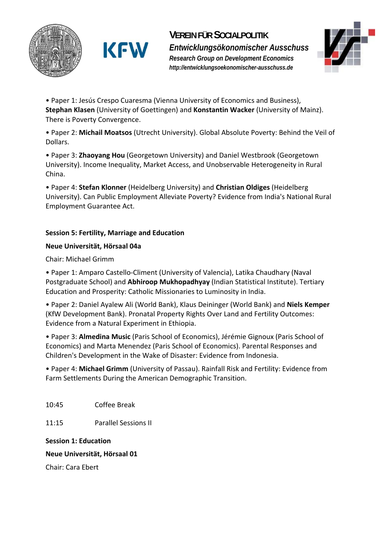





• Paper 1: Jesús Crespo Cuaresma (Vienna University of Economics and Business), **Stephan Klasen** (University of Goettingen) and **Konstantin Wacker** (University of Mainz). There is Poverty Convergence.

• Paper 2: **Michail Moatsos** (Utrecht University). Global Absolute Poverty: Behind the Veil of Dollars.

• Paper 3: **Zhaoyang Hou** (Georgetown University) and Daniel Westbrook (Georgetown University). Income Inequality, Market Access, and Unobservable Heterogeneity in Rural China.

• Paper 4: **Stefan Klonner** (Heidelberg University) and **Christian Oldiges** (Heidelberg University). Can Public Employment Alleviate Poverty? Evidence from India's National Rural Employment Guarantee Act.

#### **Session 5: Fertility, Marriage and Education**

#### **Neue Universität, Hörsaal 04a**

Chair: Michael Grimm

• Paper 1: Amparo Castello‐Climent (University of Valencia), Latika Chaudhary (Naval Postgraduate School) and **Abhiroop Mukhopadhyay** (Indian Statistical Institute). Tertiary Education and Prosperity: Catholic Missionaries to Luminosity in India.

• Paper 2: Daniel Ayalew Ali (World Bank), Klaus Deininger (World Bank) and **Niels Kemper** (KfW Development Bank). Pronatal Property Rights Over Land and Fertility Outcomes: Evidence from a Natural Experiment in Ethiopia.

• Paper 3: **Almedina Music** (Paris School of Economics), Jérémie Gignoux (Paris School of Economics) and Marta Menendez (Paris School of Economics). Parental Responses and Children's Development in the Wake of Disaster: Evidence from Indonesia.

• Paper 4: **Michael Grimm** (University of Passau). Rainfall Risk and Fertility: Evidence from Farm Settlements During the American Demographic Transition.

10:45 Coffee Break

11:15 Parallel Sessions II

**Session 1: Education** 

#### **Neue Universität, Hörsaal 01**

Chair: Cara Ebert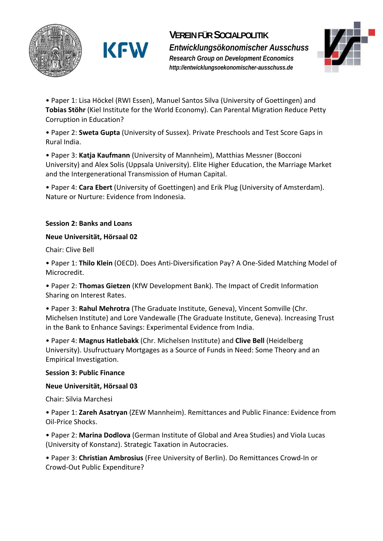





• Paper 1: Lisa Höckel (RWI Essen), Manuel Santos Silva (University of Goettingen) and **Tobias Stöhr** (Kiel Institute for the World Economy). Can Parental Migration Reduce Petty Corruption in Education?

• Paper 2: **Sweta Gupta** (University of Sussex). Private Preschools and Test Score Gaps in Rural India.

• Paper 3: **Katja Kaufmann** (University of Mannheim), Matthias Messner (Bocconi University) and Alex Solis (Uppsala University). Elite Higher Education, the Marriage Market and the Intergenerational Transmission of Human Capital.

• Paper 4: **Cara Ebert** (University of Goettingen) and Erik Plug (University of Amsterdam). Nature or Nurture: Evidence from Indonesia.

#### **Session 2: Banks and Loans**

#### **Neue Universität, Hörsaal 02**

Chair: Clive Bell

• Paper 1: **Thilo Klein** (OECD). Does Anti‐Diversification Pay? A One‐Sided Matching Model of Microcredit.

• Paper 2: **Thomas Gietzen** (KfW Development Bank). The Impact of Credit Information Sharing on Interest Rates.

• Paper 3: **Rahul Mehrotra** (The Graduate Institute, Geneva), Vincent Somville (Chr. Michelsen Institute) and Lore Vandewalle (The Graduate Institute, Geneva). Increasing Trust in the Bank to Enhance Savings: Experimental Evidence from India.

• Paper 4: **Magnus Hatlebakk** (Chr. Michelsen Institute) and **Clive Bell** (Heidelberg University). Usufructuary Mortgages as a Source of Funds in Need: Some Theory and an Empirical Investigation.

#### **Session 3: Public Finance**

#### **Neue Universität, Hörsaal 03**

Chair: Silvia Marchesi

• Paper 1: **Zareh Asatryan** (ZEW Mannheim). Remittances and Public Finance: Evidence from Oil‐Price Shocks.

• Paper 2: **Marina Dodlova** (German Institute of Global and Area Studies) and Viola Lucas (University of Konstanz). Strategic Taxation in Autocracies.

• Paper 3: **Christian Ambrosius** (Free University of Berlin). Do Remittances Crowd‐In or Crowd‐Out Public Expenditure?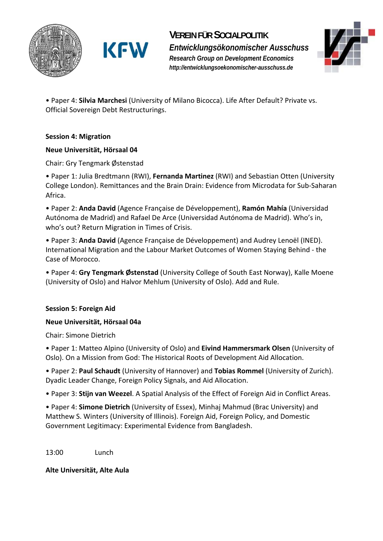

**KFW** 



• Paper 4: **Silvia Marchesi** (University of Milano Bicocca). Life After Default? Private vs. Official Sovereign Debt Restructurings.

#### **Session 4: Migration**

#### **Neue Universität, Hörsaal 04**

Chair: Gry Tengmark Østenstad

• Paper 1: Julia Bredtmann (RWI), **Fernanda Martinez** (RWI) and Sebastian Otten (University College London). Remittances and the Brain Drain: Evidence from Microdata for Sub‐Saharan Africa.

• Paper 2: **Anda David** (Agence Française de Développement), **Ramón Mahía** (Universidad Autónoma de Madrid) and Rafael De Arce (Universidad Autónoma de Madrid). Who's in, who's out? Return Migration in Times of Crisis.

• Paper 3: **Anda David** (Agence Française de Développement) and Audrey Lenoël (INED). International Migration and the Labour Market Outcomes of Women Staying Behind ‐ the Case of Morocco.

• Paper 4: **Gry Tengmark Østenstad** (University College of South East Norway), Kalle Moene (University of Oslo) and Halvor Mehlum (University of Oslo). Add and Rule.

#### **Session 5: Foreign Aid**

#### **Neue Universität, Hörsaal 04a**

Chair: Simone Dietrich

• Paper 1: Matteo Alpino (University of Oslo) and **Eivind Hammersmark Olsen** (University of Oslo). On a Mission from God: The Historical Roots of Development Aid Allocation.

• Paper 2: **Paul Schaudt** (University of Hannover) and **Tobias Rommel** (University of Zurich). Dyadic Leader Change, Foreign Policy Signals, and Aid Allocation.

• Paper 3: **Stijn van Weezel**. A Spatial Analysis of the Effect of Foreign Aid in Conflict Areas.

• Paper 4: **Simone Dietrich** (University of Essex), Minhaj Mahmud (Brac University) and Matthew S. Winters (University of Illinois). Foreign Aid, Foreign Policy, and Domestic Government Legitimacy: Experimental Evidence from Bangladesh.

13:00 Lunch

**Alte Universität, Alte Aula**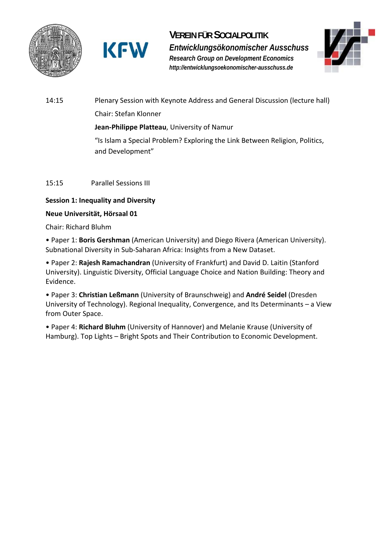

**VEREIN FÜR SOCIALPOLITIK** *Entwicklungsökonomischer Ausschuss Research Group on Development Economics http://entwicklungsoekonomischer-ausschuss.de* 



14:15 Plenary Session with Keynote Address and General Discussion (lecture hall) Chair: Stefan Klonner **Jean‐Philippe Platteau**, University of Namur "Is Islam a Special Problem? Exploring the Link Between Religion, Politics, and Development"

#### 15:15 Parallel Sessions III

#### **Session 1: Inequality and Diversity**

#### **Neue Universität, Hörsaal 01**

Chair: Richard Bluhm

• Paper 1: **Boris Gershman** (American University) and Diego Rivera (American University). Subnational Diversity in Sub‐Saharan Africa: Insights from a New Dataset.

• Paper 2: **Rajesh Ramachandran** (University of Frankfurt) and David D. Laitin (Stanford University). Linguistic Diversity, Official Language Choice and Nation Building: Theory and Evidence.

• Paper 3: **Christian Leßmann** (University of Braunschweig) and **André Seidel** (Dresden University of Technology). Regional Inequality, Convergence, and Its Determinants – a View from Outer Space.

• Paper 4: **Richard Bluhm** (University of Hannover) and Melanie Krause (University of Hamburg). Top Lights – Bright Spots and Their Contribution to Economic Development.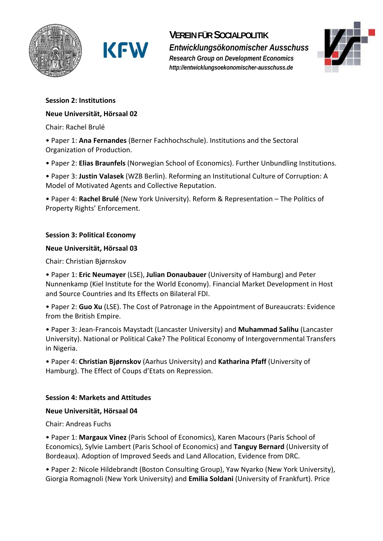

**KFW** 

## **VEREIN FÜR SOCIALPOLITIK**

*Entwicklungsökonomischer Ausschuss Research Group on Development Economics http://entwicklungsoekonomischer-ausschuss.de* 



#### **Session 2: Institutions**

#### **Neue Universität, Hörsaal 02**

Chair: Rachel Brulé

• Paper 1: **Ana Fernandes** (Berner Fachhochschule). Institutions and the Sectoral Organization of Production.

• Paper 2: **Elias Braunfels** (Norwegian School of Economics). Further Unbundling Institutions.

• Paper 3: **Justin Valasek** (WZB Berlin). Reforming an Institutional Culture of Corruption: A Model of Motivated Agents and Collective Reputation.

• Paper 4: **Rachel Brulé** (New York University). Reform & Representation – The Politics of Property Rights' Enforcement.

#### **Session 3: Political Economy**

#### **Neue Universität, Hörsaal 03**

Chair: Christian Bjørnskov

• Paper 1: **Eric Neumayer** (LSE), **Julian Donaubauer** (University of Hamburg) and Peter Nunnenkamp (Kiel Institute for the World Economy). Financial Market Development in Host and Source Countries and Its Effects on Bilateral FDI.

• Paper 2: **Guo Xu** (LSE). The Cost of Patronage in the Appointment of Bureaucrats: Evidence from the British Empire.

• Paper 3: Jean‐Francois Maystadt (Lancaster University) and **Muhammad Salihu** (Lancaster University). National or Political Cake? The Political Economy of Intergovernmental Transfers in Nigeria.

• Paper 4: **Christian Bjørnskov** (Aarhus University) and **Katharina Pfaff** (University of Hamburg). The Effect of Coups d'Etats on Repression.

#### **Session 4: Markets and Attitudes**

#### **Neue Universität, Hörsaal 04**

Chair: Andreas Fuchs

• Paper 1: **Margaux Vinez** (Paris School of Economics), Karen Macours (Paris School of Economics), Sylvie Lambert (Paris School of Economics) and **Tanguy Bernard** (University of Bordeaux). Adoption of Improved Seeds and Land Allocation, Evidence from DRC.

• Paper 2: Nicole Hildebrandt (Boston Consulting Group), Yaw Nyarko (New York University), Giorgia Romagnoli (New York University) and **Emilia Soldani** (University of Frankfurt). Price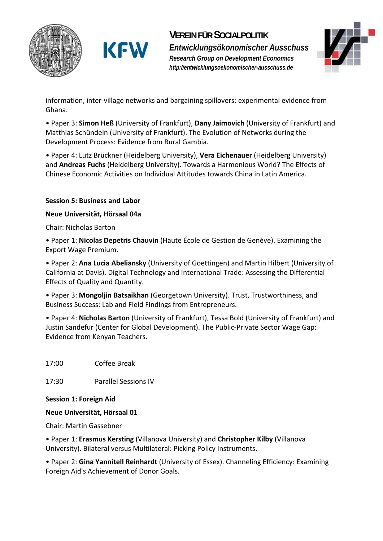





information, inter‐village networks and bargaining spillovers: experimental evidence from Ghana.

• Paper 3: **Simon Heß** (University of Frankfurt), **Dany Jaimovich** (University of Frankfurt) and Matthias Schündeln (University of Frankfurt). The Evolution of Networks during the Development Process: Evidence from Rural Gambia.

• Paper 4: Lutz Brückner (Heidelberg University), **Vera Eichenauer** (Heidelberg University) and **Andreas Fuchs** (Heidelberg University). Towards a Harmonious World? The Effects of Chinese Economic Activities on Individual Attitudes towards China in Latin America.

#### **Session 5: Business and Labor**

#### **Neue Universität, Hörsaal 04a**

Chair: Nicholas Barton

• Paper 1: **Nicolas Depetris Chauvin** (Haute École de Gestion de Genève). Examining the Export Wage Premium.

• Paper 2: **Ana Lucia Abeliansky** (University of Goettingen) and Martin Hilbert (University of California at Davis). Digital Technology and International Trade: Assessing the Differential Effects of Quality and Quantity.

• Paper 3: **Mongoljin Batsaikhan** (Georgetown University). Trust, Trustworthiness, and Business Success: Lab and Field Findings from Entrepreneurs.

• Paper 4: **Nicholas Barton** (University of Frankfurt), Tessa Bold (University of Frankfurt) and Justin Sandefur (Center for Global Development). The Public‐Private Sector Wage Gap: Evidence from Kenyan Teachers.

17:00 Coffee Break

17:30 Parallel Sessions IV

#### **Session 1: Foreign Aid**

#### **Neue Universität, Hörsaal 01**

Chair: Martin Gassebner

• Paper 1: **Erasmus Kersting** (Villanova University) and **Christopher Kilby** (Villanova University). Bilateral versus Multilateral: Picking Policy Instruments.

• Paper 2: **Gina Yannitell Reinhardt** (University of Essex). Channeling Efficiency: Examining Foreign Aid's Achievement of Donor Goals.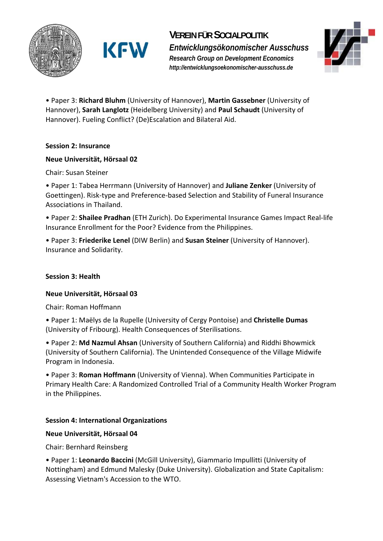

**VEREIN FÜR SOCIALPOLITIK**

*Entwicklungsökonomischer Ausschuss Research Group on Development Economics http://entwicklungsoekonomischer-ausschuss.de* 



• Paper 3: **Richard Bluhm** (University of Hannover), **Martin Gassebner** (University of Hannover), **Sarah Langlotz** (Heidelberg University) and **Paul Schaudt** (University of Hannover). Fueling Conflict? (De)Escalation and Bilateral Aid.

#### **Session 2: Insurance**

#### **Neue Universität, Hörsaal 02**

Chair: Susan Steiner

• Paper 1: Tabea Herrmann (University of Hannover) and **Juliane Zenker** (University of Goettingen). Risk‐type and Preference‐based Selection and Stability of Funeral Insurance Associations in Thailand.

• Paper 2: **Shailee Pradhan** (ETH Zurich). Do Experimental Insurance Games Impact Real‐life Insurance Enrollment for the Poor? Evidence from the Philippines.

• Paper 3: **Friederike Lenel** (DIW Berlin) and **Susan Steiner** (University of Hannover). Insurance and Solidarity.

#### **Session 3: Health**

#### **Neue Universität, Hörsaal 03**

Chair: Roman Hoffmann

• Paper 1: Maëlys de la Rupelle (University of Cergy Pontoise) and **Christelle Dumas** (University of Fribourg). Health Consequences of Sterilisations.

• Paper 2: **Md Nazmul Ahsan** (University of Southern California) and Riddhi Bhowmick (University of Southern California). The Unintended Consequence of the Village Midwife Program in Indonesia.

• Paper 3: **Roman Hoffmann** (University of Vienna). When Communities Participate in Primary Health Care: A Randomized Controlled Trial of a Community Health Worker Program in the Philippines.

#### **Session 4: International Organizations**

#### **Neue Universität, Hörsaal 04**

Chair: Bernhard Reinsberg

• Paper 1: **Leonardo Baccini** (McGill University), Giammario Impullitti (University of Nottingham) and Edmund Malesky (Duke University). Globalization and State Capitalism: Assessing Vietnam's Accession to the WTO.